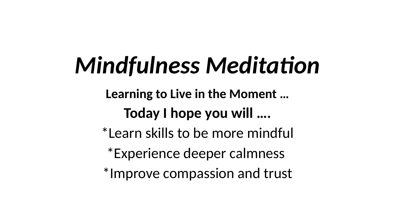# *Mindfulness Meditation*

**Learning to Live in the Moment … Today I hope you will ….**

\*Learn skills to be more mindful

\*Experience deeper calmness

\*Improve compassion and trust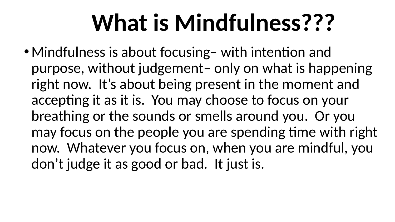# **What is Mindfulness???**

• Mindfulness is about focusing– with intention and purpose, without judgement– only on what is happening right now. It's about being present in the moment and accepting it as it is. You may choose to focus on your breathing or the sounds or smells around you. Or you may focus on the people you are spending time with right now. Whatever you focus on, when you are mindful, you don't judge it as good or bad. It just is.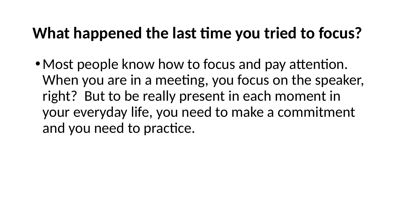### **What happened the last time you tried to focus?**

• Most people know how to focus and pay attention. When you are in a meeting, you focus on the speaker, right? But to be really present in each moment in your everyday life, you need to make a commitment and you need to practice.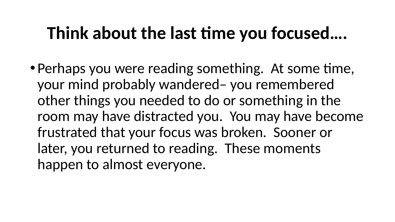## **Think about the last time you focused….**

• Perhaps you were reading something. At some time, your mind probably wandered– you remembered other things you needed to do or something in the room may have distracted you. You may have become frustrated that your focus was broken. Sooner or later, you returned to reading. These moments happen to almost everyone.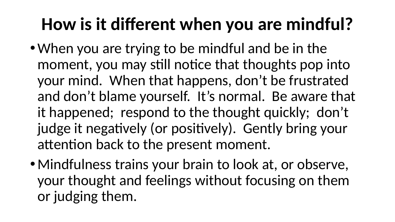## **How is it different when you are mindful?**

- When you are trying to be mindful and be in the moment, you may still notice that thoughts pop into your mind. When that happens, don't be frustrated and don't blame yourself. It's normal. Be aware that it happened; respond to the thought quickly; don't judge it negatively (or positively). Gently bring your attention back to the present moment.
- Mindfulness trains your brain to look at, or observe, your thought and feelings without focusing on them or judging them.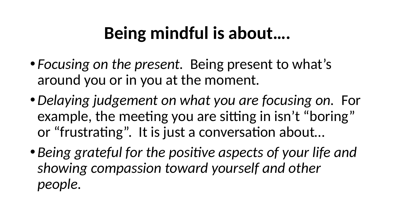## **Being mindful is about….**

- *Focusing on the present.* Being present to what's around you or in you at the moment.
- •*Delaying judgement on what you are focusing on.* For example, the meeting you are sitting in isn't "boring" or "frustrating". It is just a conversation about…
- *Being grateful for the positive aspects of your life and showing compassion toward yourself and other people.*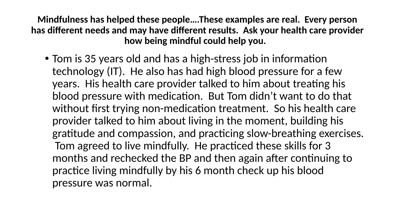**Mindfulness has helped these people….These examples are real. Every person has different needs and may have different results. Ask your health care provider how being mindful could help you.** 

• Tom is 35 years old and has a high-stress job in information technology (IT). He also has had high blood pressure for a few years. His health care provider talked to him about treating his blood pressure with medication. But Tom didn't want to do that without first trying non-medication treatment. So his health care provider talked to him about living in the moment, building his gratitude and compassion, and practicing slow-breathing exercises. Tom agreed to live mindfully. He practiced these skills for 3 months and rechecked the BP and then again after continuing to practice living mindfully by his 6 month check up his blood pressure was normal.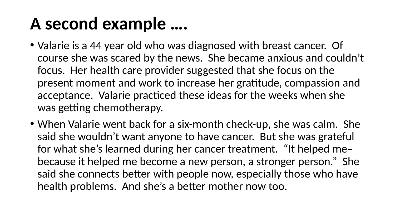## **A second example ….**

- Valarie is a 44 year old who was diagnosed with breast cancer. Of course she was scared by the news. She became anxious and couldn't focus. Her health care provider suggested that she focus on the present moment and work to increase her gratitude, compassion and acceptance. Valarie practiced these ideas for the weeks when she was getting chemotherapy.
- When Valarie went back for a six-month check-up, she was calm. She said she wouldn't want anyone to have cancer. But she was grateful for what she's learned during her cancer treatment. "It helped me– because it helped me become a new person, a stronger person." She said she connects better with people now, especially those who have health problems. And she's a better mother now too.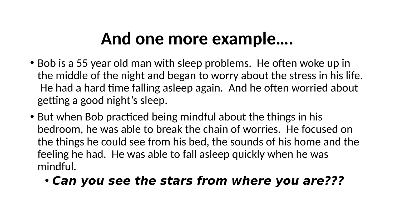## **And one more example….**

- Bob is a 55 year old man with sleep problems. He often woke up in the middle of the night and began to worry about the stress in his life. He had a hard time falling asleep again. And he often worried about getting a good night's sleep.
- But when Bob practiced being mindful about the things in his bedroom, he was able to break the chain of worries. He focused on the things he could see from his bed, the sounds of his home and the feeling he had. He was able to fall asleep quickly when he was mindful.

### • **Can you see the stars from where you are???**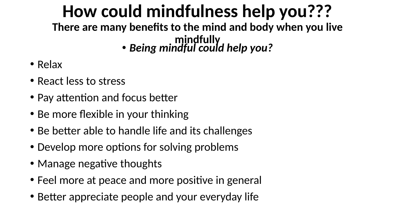### **How could mindfulness help you??? There are many benefits to the mind and body when you live**

#### **mindfully** • *Being mindful could help you?*

- Relax
- React less to stress
- Pay attention and focus better
- Be more flexible in your thinking
- Be better able to handle life and its challenges
- Develop more options for solving problems
- Manage negative thoughts
- Feel more at peace and more positive in general
- Better appreciate people and your everyday life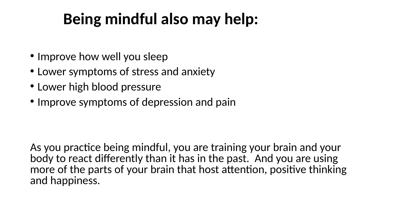### **Being mindful also may help:**

- Improve how well you sleep
- Lower symptoms of stress and anxiety
- Lower high blood pressure
- Improve symptoms of depression and pain

As you practice being mindful, you are training your brain and your body to react differently than it has in the past. And you are using more of the parts of your brain that host attention, positive thinking and happiness.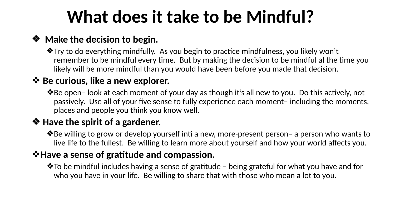## **What does it take to be Mindful?**

#### ❖ **Make the decision to begin.**

❖Try to do everything mindfully. As you begin to practice mindfulness, you likely won't remember to be mindful every time. But by making the decision to be mindful al the time you likely will be more mindful than you would have been before you made that decision.

#### ❖ **Be curious, like a new explorer.**

❖Be open– look at each moment of your day as though it's all new to you. Do this actively, not passively. Use all of your five sense to fully experience each moment– including the moments, places and people you think you know well.

#### ❖ **Have the spirit of a gardener.**

❖Be willing to grow or develop yourself inti a new, more-present person– a person who wants to live life to the fullest. Be willing to learn more about yourself and how your world affects you.

#### ❖**Have a sense of gratitude and compassion.**

❖To be mindful includes having a sense of gratitude – being grateful for what you have and for who you have in your life. Be willing to share that with those who mean a lot to you.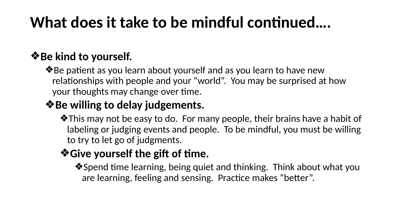### **What does it take to be mindful continued….**

### ❖**Be kind to yourself.**

❖Be patient as you learn about yourself and as you learn to have new relationships with people and your "world". You may be surprised at how your thoughts may change over time.

### ❖**Be willing to delay judgements.**

❖This may not be easy to do. For many people, their brains have a habit of labeling or judging events and people. To be mindful, you must be willing to try to let go of judgments.

### ❖**Give yourself the gift of time.**

❖Spend time learning, being quiet and thinking. Think about what you are learning, feeling and sensing. Practice makes "better".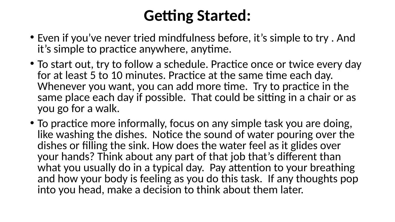### **Getting Started:**

- Even if you've never tried mindfulness before, it's simple to try . And it's simple to practice anywhere, anytime.
- To start out, try to follow a schedule. Practice once or twice every day for at least 5 to 10 minutes. Practice at the same time each day. Whenever you want, you can add more time. Try to practice in the same place each day if possible. That could be sitting in a chair or as you go for a walk.
- To practice more informally, focus on any simple task you are doing, like washing the dishes. Notice the sound of water pouring over the dishes or filling the sink. How does the water feel as it glides over your hands? Think about any part of that job that's different than what you usually do in a typical day. Pay attention to your breathing and how your body is feeling as you do this task. If any thoughts pop into you head, make a decision to think about them later.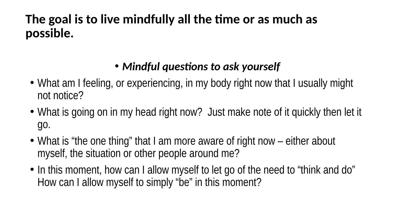### **The goal is to live mindfully all the time or as much as possible.**

### • *Mindful questions to ask yourself*

- What am I feeling, or experiencing, in my body right now that I usually might not notice?
- What is going on in my head right now? Just make note of it quickly then let it go.
- What is "the one thing" that I am more aware of right now either about myself, the situation or other people around me?
- In this moment, how can I allow myself to let go of the need to "think and do" How can I allow myself to simply "be" in this moment?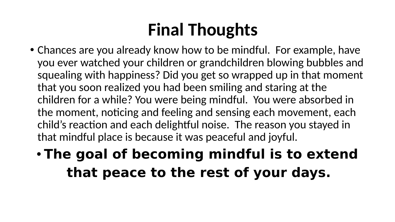## **Final Thoughts**

- Chances are you already know how to be mindful. For example, have you ever watched your children or grandchildren blowing bubbles and squealing with happiness? Did you get so wrapped up in that moment that you soon realized you had been smiling and staring at the children for a while? You were being mindful. You were absorbed in the moment, noticing and feeling and sensing each movement, each child's reaction and each delightful noise. The reason you stayed in that mindful place is because it was peaceful and joyful.
	- **The goal of becoming mindful is to extend that peace to the rest of your days.**